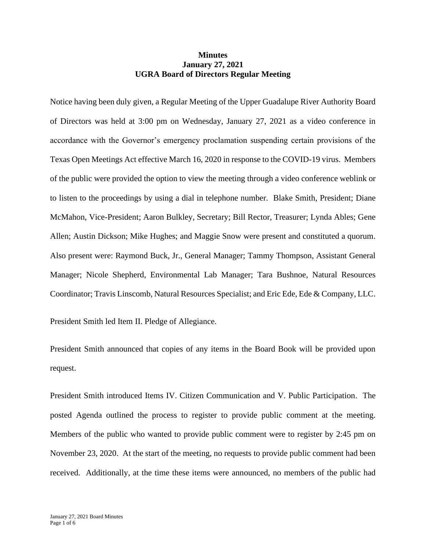## **Minutes January 27, 2021 UGRA Board of Directors Regular Meeting**

Notice having been duly given, a Regular Meeting of the Upper Guadalupe River Authority Board of Directors was held at 3:00 pm on Wednesday, January 27, 2021 as a video conference in accordance with the Governor's emergency proclamation suspending certain provisions of the Texas Open Meetings Act effective March 16, 2020 in response to the COVID-19 virus. Members of the public were provided the option to view the meeting through a video conference weblink or to listen to the proceedings by using a dial in telephone number. Blake Smith, President; Diane McMahon, Vice-President; Aaron Bulkley, Secretary; Bill Rector, Treasurer; Lynda Ables; Gene Allen; Austin Dickson; Mike Hughes; and Maggie Snow were present and constituted a quorum. Also present were: Raymond Buck, Jr., General Manager; Tammy Thompson, Assistant General Manager; Nicole Shepherd, Environmental Lab Manager; Tara Bushnoe, Natural Resources Coordinator; Travis Linscomb, Natural Resources Specialist; and Eric Ede, Ede & Company, LLC.

President Smith led Item II. Pledge of Allegiance.

President Smith announced that copies of any items in the Board Book will be provided upon request.

President Smith introduced Items IV. Citizen Communication and V. Public Participation. The posted Agenda outlined the process to register to provide public comment at the meeting. Members of the public who wanted to provide public comment were to register by 2:45 pm on November 23, 2020. At the start of the meeting, no requests to provide public comment had been received. Additionally, at the time these items were announced, no members of the public had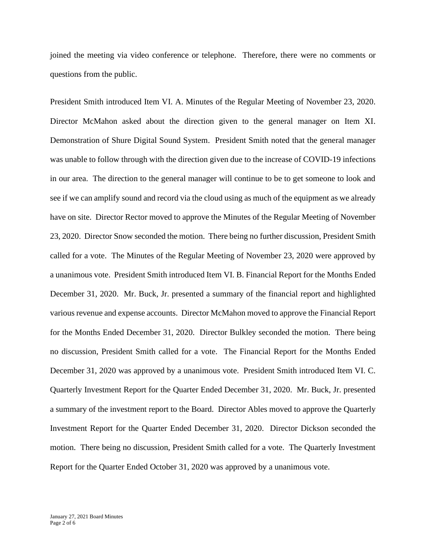joined the meeting via video conference or telephone. Therefore, there were no comments or questions from the public.

President Smith introduced Item VI. A. Minutes of the Regular Meeting of November 23, 2020. Director McMahon asked about the direction given to the general manager on Item XI. Demonstration of Shure Digital Sound System. President Smith noted that the general manager was unable to follow through with the direction given due to the increase of COVID-19 infections in our area. The direction to the general manager will continue to be to get someone to look and see if we can amplify sound and record via the cloud using as much of the equipment as we already have on site. Director Rector moved to approve the Minutes of the Regular Meeting of November 23, 2020. Director Snow seconded the motion. There being no further discussion, President Smith called for a vote. The Minutes of the Regular Meeting of November 23, 2020 were approved by a unanimous vote. President Smith introduced Item VI. B. Financial Report for the Months Ended December 31, 2020. Mr. Buck, Jr. presented a summary of the financial report and highlighted various revenue and expense accounts. Director McMahon moved to approve the Financial Report for the Months Ended December 31, 2020. Director Bulkley seconded the motion. There being no discussion, President Smith called for a vote. The Financial Report for the Months Ended December 31, 2020 was approved by a unanimous vote. President Smith introduced Item VI. C. Quarterly Investment Report for the Quarter Ended December 31, 2020. Mr. Buck, Jr. presented a summary of the investment report to the Board. Director Ables moved to approve the Quarterly Investment Report for the Quarter Ended December 31, 2020. Director Dickson seconded the motion. There being no discussion, President Smith called for a vote. The Quarterly Investment Report for the Quarter Ended October 31, 2020 was approved by a unanimous vote.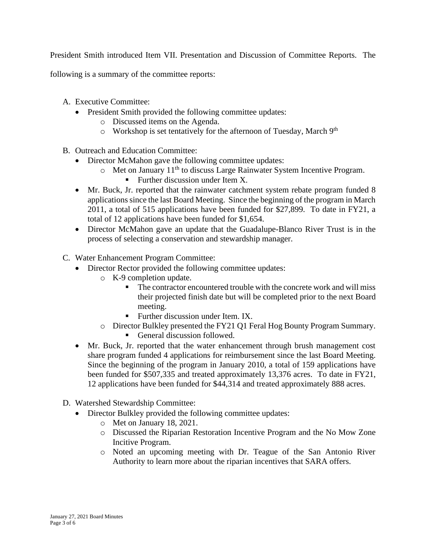President Smith introduced Item VII. Presentation and Discussion of Committee Reports. The

following is a summary of the committee reports:

- A. Executive Committee:
	- President Smith provided the following committee updates:
		- o Discussed items on the Agenda.
		- $\circ$  Workshop is set tentatively for the afternoon of Tuesday, March 9<sup>th</sup>
- B. Outreach and Education Committee:
	- Director McMahon gave the following committee updates:
		- o Met on January 11th to discuss Large Rainwater System Incentive Program.
			- **•** Further discussion under Item X.
	- Mr. Buck, Jr. reported that the rainwater catchment system rebate program funded 8 applications since the last Board Meeting. Since the beginning of the program in March 2011, a total of 515 applications have been funded for \$27,899. To date in FY21, a total of 12 applications have been funded for \$1,654.
	- Director McMahon gave an update that the Guadalupe-Blanco River Trust is in the process of selecting a conservation and stewardship manager.
- C. Water Enhancement Program Committee:
	- Director Rector provided the following committee updates:
		- o K-9 completion update.
			- The contractor encountered trouble with the concrete work and will miss their projected finish date but will be completed prior to the next Board meeting.
			- **•** Further discussion under Item. IX.
		- o Director Bulkley presented the FY21 Q1 Feral Hog Bounty Program Summary.
			- General discussion followed.
	- Mr. Buck, Jr. reported that the water enhancement through brush management cost share program funded 4 applications for reimbursement since the last Board Meeting. Since the beginning of the program in January 2010, a total of 159 applications have been funded for \$507,335 and treated approximately 13,376 acres. To date in FY21, 12 applications have been funded for \$44,314 and treated approximately 888 acres.
- D. Watershed Stewardship Committee:
	- Director Bulkley provided the following committee updates:
		- o Met on January 18, 2021.
		- o Discussed the Riparian Restoration Incentive Program and the No Mow Zone Incitive Program.
		- o Noted an upcoming meeting with Dr. Teague of the San Antonio River Authority to learn more about the riparian incentives that SARA offers.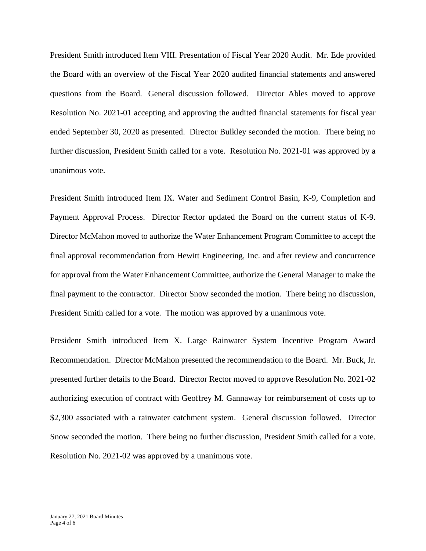President Smith introduced Item VIII. Presentation of Fiscal Year 2020 Audit. Mr. Ede provided the Board with an overview of the Fiscal Year 2020 audited financial statements and answered questions from the Board. General discussion followed. Director Ables moved to approve Resolution No. 2021-01 accepting and approving the audited financial statements for fiscal year ended September 30, 2020 as presented. Director Bulkley seconded the motion. There being no further discussion, President Smith called for a vote. Resolution No. 2021-01 was approved by a unanimous vote.

President Smith introduced Item IX. Water and Sediment Control Basin, K-9, Completion and Payment Approval Process. Director Rector updated the Board on the current status of K-9. Director McMahon moved to authorize the Water Enhancement Program Committee to accept the final approval recommendation from Hewitt Engineering, Inc. and after review and concurrence for approval from the Water Enhancement Committee, authorize the General Manager to make the final payment to the contractor. Director Snow seconded the motion. There being no discussion, President Smith called for a vote. The motion was approved by a unanimous vote.

President Smith introduced Item X. Large Rainwater System Incentive Program Award Recommendation. Director McMahon presented the recommendation to the Board. Mr. Buck, Jr. presented further details to the Board. Director Rector moved to approve Resolution No. 2021-02 authorizing execution of contract with Geoffrey M. Gannaway for reimbursement of costs up to \$2,300 associated with a rainwater catchment system. General discussion followed. Director Snow seconded the motion. There being no further discussion, President Smith called for a vote. Resolution No. 2021-02 was approved by a unanimous vote.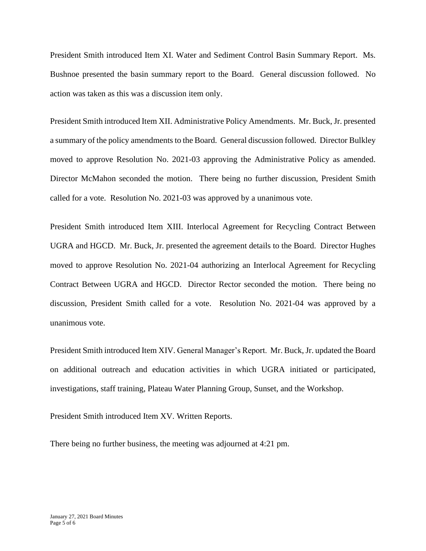President Smith introduced Item XI. Water and Sediment Control Basin Summary Report. Ms. Bushnoe presented the basin summary report to the Board. General discussion followed. No action was taken as this was a discussion item only.

President Smith introduced Item XII. Administrative Policy Amendments. Mr. Buck, Jr. presented a summary of the policy amendments to the Board. General discussion followed. Director Bulkley moved to approve Resolution No. 2021-03 approving the Administrative Policy as amended. Director McMahon seconded the motion. There being no further discussion, President Smith called for a vote. Resolution No. 2021-03 was approved by a unanimous vote.

President Smith introduced Item XIII. Interlocal Agreement for Recycling Contract Between UGRA and HGCD. Mr. Buck, Jr. presented the agreement details to the Board. Director Hughes moved to approve Resolution No. 2021-04 authorizing an Interlocal Agreement for Recycling Contract Between UGRA and HGCD. Director Rector seconded the motion. There being no discussion, President Smith called for a vote. Resolution No. 2021-04 was approved by a unanimous vote.

President Smith introduced Item XIV. General Manager's Report. Mr. Buck, Jr. updated the Board on additional outreach and education activities in which UGRA initiated or participated, investigations, staff training, Plateau Water Planning Group, Sunset, and the Workshop.

President Smith introduced Item XV. Written Reports.

There being no further business, the meeting was adjourned at 4:21 pm.